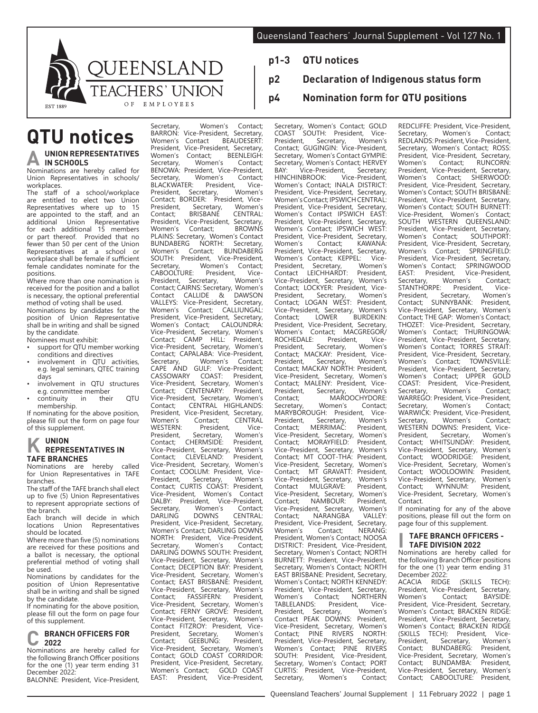**p2 Declaration of Indigenous status form**

**p4 Nomination form for QTU positions**

**p1-3 QTU notices**



# **QTU notices UNION REPRESENTATIVES IN SCHOOLS**

Nominations are hereby called for Union Representatives in schools/ workplaces.

The staff of a school/workplace are entitled to elect two Union Representatives where up to 15 are appointed to the staff, and an<br>additional Union Representative Representative for each additional 15 members or part thereof. Provided that no fewer than 50 per cent of the Union Representatives at a school or workplace shall be female if sufficient female candidates nominate for the positions.

Where more than one nomination is received for the position and a ballot is necessary, the optional preferential method of voting shall be used.

Nominations by candidates for the position of Union Representative shall be in writing and shall be signed by the candidate.

Nominees must exhibit:

- support for OTU member working conditions and directives
- involvement in QTU activities, e.g. legal seminars, QTEC training days
- involvement in QTU structures e.g. committee member<br>continuity in their
- continuity in their QTU membership.

If nominating for the above position, please fill out the form on page four of this supplement.

# **K UNION REPRESENTATIVES IN TAFE BRANCHES**

Nominations are hereby called for Union Representatives in TAFE branches.

The staff of the TAFE branch shall elect up to five (5) Union Representatives to represent appropriate sections of the branch.

Each branch will decide in which<br>locations Union Representatives Representatives should be located.

Where more than five (5) nominations are received for these positions and a ballot is necessary, the optional preferential method of voting shall be used.

Nominations by candidates for the position of Union Representative shall be in writing and shall be signed by the candidate.

If nominating for the above position, please fill out the form on page four of this supplement.

#### **C BRANCH OFFICERS FOR 2022**

Nominations are hereby called for the following Branch Officer positions for the one (1) year term ending 31 December 2022:

BALONNE: President, Vice-President,

Secretary, Women's Contact;<br>BARRON: Vice-President, Secretary, BARRON: Vice-President, Secretary,<br>Women's Contact BEAUDESERT Women's Contact President, Vice-President, Secretary,<br>Women's Contact: BEENLEIGH: ntact; BEENLEIGH:<br>Women's Contact: Secretary BENOWA: President, Vice-President,<br>Secretary. Women's Contact: Women's Contact;<br>President, Vice-BLACKWATER: President, Vice-<br>President, Secretary, Women's President, Secretary, Women's Contact; BORDER: President, Vice-President, Secretary, Women's<br>Contact: BRISBANE CENTRAL: CENTRAL:<br>Secretary President, Vice-President,<br>Women's Contact: BROWNS PLAINS: Secretary, Women's Contact<br>BUNDABERG NORTH: Secretary. BUNDABERG NORTH: Secretary,<br>Women's Contact; BUNDABERG BUNDABERG SOUTH: President, Vice-President,<br>Secretary. Women's Contact: Women's Contact;<br>President. Vice-CABOOLTURE: President, Vice-<br>President, Secretary, Women's President, Secretary, Women's Contact; CAIRNS: Secretary, Women's Contact CALLIDE & DAWSON<br>
VALLEYS: Vice-President Secretary VALLEYS: Vice-President, Secretary, Women's Contact; CALLIUNGAL: President, Vice-President, Secretary, Women's Contact; CALOUNDRA: Vice-President, Secretary, Women's<br>Contact: CAMP HILL: President. Contact: CAMP HILL: Vice-President, Secretary, Women's Contact; CAPALABA: Vice-President, Secretary, Women's<br>CAPE AND GULF: Vice-CAPE AND GULF: Vice-President;<br>CASSOWARY COAST: President, CASSOWARY COAST: President, Vice-President, Secretary, Women's Contact; CENTENARY: President, Vice-President, Secretary,<br>Contact: CENTRAL HI Contact; CENTRAL HIGHLANDS:<br>President, Vice-President, Secretary, President, Vice-President, Secretary,<br>Women's Contact: CENTRAL Women's Contact; CENTRAL<br>WESTERN: President, Vice-WESTERN: President, Vice-<br>President, Secretary, Women's President, Secretary, Women's<br>Contact; CHERMSIDE: President, CHERMSIDE: President,<br>lent Secretary Women's Vice-President, Secretary, Women's CLEVELAND: President,<br>lent Secretary Women's Vice-President, Secretary, Contact; COOLUM: President, Vice-President, Secretary, Women's Contact; CURTIS COAST: President, Vice-President, Women's Contact DALBY: President, Vice-President,<br>Secretary, Women's Contact; Secretary, Women's Contact;<br>DARLING DOWNS CENTRAL: DARLING DOWNS CENTRAL: President, Vice-President, Secretary, Women's Contact; DARLING DOWNS NORTH: President, Vice-President,<br>Secretary. Women's Contact; Secretary, Women's Contact; DARLING DOWNS SOUTH: President, Vice-President, Secretary, Women's Contact; DECEPTION BAY: President,<br>Vice-President, Secretary, Women's Vice-President, Secretary, Contact; EAST BRISBANE: President,<br>Vice-President Secretary Women's Vice-President, Secretary, Women's<br>Contact: FASSIFERN: President. FASSIFERN: President, Vice-President, Secretary, Contact; FERNY GROVE: President,<br>Vice-President Secretary, Women's Vice-President, Secretary, Contact FITZROY: President, Vice-<br>President, Secretary, Women's President, Secretary, Women's<br>Contact; GEEBUNG: President, Contact; GEEBUNG: President, Vice-President, Secretary, Women's Contact; GOLD COAST CORRIDOR: President, Vice-President, Secretary,<br>Women's Contact: GOLD COAST Women's Contact;<br>EAST: President, EAST: President, Vice-President,

Secretary, Women's Contact; GOLD COAST SOUTH: President, Vice-President, Secretary, Women's Contact; GUGINGIN: Vice-President, Secretary, Women's Contact GYMPIE: Secretary, Women's Contact; HERVEY<br>BAY: Vice-President. Secretary: .<br>Vice-President, Secretary;<br>VBROOK: Vice-President, HINCHINBROOK: Women's Contact; INALA DISTRICT: President, Vice-President, Secretary, Women's Contact; IPSWICH CENTRAL: President, Vice-President, Secretary,<br>Women's Contact IPSWICH FAST Contact IPSWICH EAST: President, Vice-President, Secretary,<br>Women's Contact: IPSWICH WEST: Contact: IPSWICH WEST: President, Vice-President, Secretary,<br>Women's Contact: KAWANA Contact: President, Vice-President, Secretary,<br>Women's Contact; KEPPEL: Vice-Women's Contact; KEPPEL: Vice-<br>President, Secretary, Women's President, Secretary, Women's<br>Contact LEICHHARDT: President, LEICHHARDT: Vice-President, Secretary, Women's Contact; LOCKYER: President, Vice-<br>President. Secretary. Women's President, Secretary, Women's Contact; LOGAN WEST: President, Vice-President, Secretary, Women's Contact; LOWER BURDEKIN: President, Vice-President, Secretary,<br>Women's Contact; MACGREGOR/ Contact; MACGREGOR/<br>E: President. Vice-ROCHEDALE: President, Vice-<br>President, Secretary, Women's President, Secretary, Women's Contact; MACKAY: President, Vice-President, Secretary, Women's Contact; MACKAY NORTH: President, Vice-President, Secretary, Women's Contact; MALENY: President, Vice-President, Secretary, Women's<br>Contact: MAROOCHYDORE: Contact; MAROOCHYDORE:<br>Secretary. Women's Contact: Women's MARYBÓROUGH: President, Vice-<br>President, Secretary, Women's President, Secretary, Women's Contact; MERRIMAC: President, Vice-President, Secretary, Women's<br>Contact: MORAYFIELD: President. MORAYFIELD: Vice-President, Secretary, Women's Contact; MT COOT-THA: President, Vice-President, Secretary, Women's<br>Contact: MT GRAVATT: President MT GRAVATT: President,<br>Int. Secretary, Women's Vice-President, Secretary, Women's MULGRAVE: Vice-President, Secretary, Women's<br>Contact: NAMBOUR: President, NAMBOUR: Vice-President, Secretary, Women's<br>Contact: NARANGBA VALLEY: Contact; NARANGBA VALLEY: President, Vice-President, Secretary, Women's Contact; NERANG: President, Women's Contact; NOOSA DISTRICT: President, Vice-President, Secretary, Women's Contact; NORTH BURNETT: President, Vice-President, Secretary, Women's Contact; NORTH EAST BRISBANE: President, Secretary, Women's Contact; NORTH KENNEDY: President, Vice-President, Secretary,<br>Women's Contact; NORTHERN tact; NORTHERN<br>President, Vice-TABLELANDS: President, Vice-<br>President, Secretary, Women's President, Secretary, Women's Contact PEAK DOWNS: President, Vice-President, Secretary, Women's<br>Contact; PINE RIVERS NORTH: PINE RIVERS President, Vice-President, Secretary,<br>Women's Contact; PINE RIVERS PINE RIVERS<br>Vice-President, SOUTH: President, Secretary, Women's Contact; PORT CURTIS: President, Vice-President, Secretary, Women's Contact;

REDCLIFFE: President, Vice-President,<br>Secretary, Women's Contact; Secretary, Women's Contact; REDLANDS: President, Vice-President, Secretary, Women's Contact; ROSS: President, Vice-President, Secretary,<br>Women's Contact: RUNCORN: RUNCORN<sup>.</sup> President, Vice-President, Secretary,<br>Women's Contact: SHERWOOD: Contact; SHERWOOD: President, Vice-President, Secretary, Women's Contact; SOUTH BRISBANE: President, Vice-President, Secretary, Women's Contact; SOUTH BURNETT: Vice-President, Women's Contact; SOUTH WESTERN QUEENSLAND: President, Vice-President, Secretary,<br>Women's Contact: SOUTHPORT: Women's Contact; President, Vice-President, Secretary,<br>Women's Contact; SPRINGFIELD: SPRINGFIFLD: President, Vice-President, Secretary,<br>Women's Contact; SPRINGWOOD Women's Contact;<br>EAST: President, EAST: President, Vice-President,<br>Secretary, Women's Contact; Women's Contact;<br>President, Vice-STANTHORPE: President, Vice-<br>President, Secretary, Women's President, Secretary, Women's<br>Contact; SUNNYBANK: President, Contact; SUNNYBANK: President, Vice-President, Secretary, Women's Contact; THE GAP: Women's Contact; THOZET: Vice-President, Secretary, Women's Contact; THURINGOWA: President, Vice-President, Secretary, Women's Contact; TORRES STRAIT: President, Vice-President, Secretary,<br>Women's Contact: TOWNSVILLE: TOWNSVILLE<sup>:</sup> President, Vice-President, Secretary,<br>Women's Contact: UPPER GOLD Contact; UPPER GOLD<br>resident Vice-President COAST: President, Vice-President, Women's WARREGO: President, Vice-President,<br>Secretary Women's Contact: Secretary, WARWIĆK: President, Vice-President,<br>Secretary. Women's Contact: Women's WESTERN DOWNS: President, Vice-<br>President, Secretary, Women's President, Secretary, Women's<br>Contact; WHITSUNDAY: President, WHITSUNDAY: President,<br>dent. Secretary, Women's Vice-President, Secretary, Women's Contact; WOODRIDGE: President,<br>Vice-President Secretary Women's Vice-President, Secretary, Women's<br>Contact: WOOLOOWIN: President Contact; WOOLOOWIN: President, Vice-President, Secretary, Women's<br>Contact; WYNNUM: President, WYNNUM: Vice-President, Secretary, Women's Contact.

If nominating for any of the above positions, please fill out the form on page four of this supplement.

#### **I TAFE BRANCH OFFICERS - TAFE DIVISION 2022**

Nominations are hereby called for the following Branch Officer positions for the one (1) year term ending 31

December 2022:<br>ACACIA RIDGE ACACIA RIDGE (SKILLS TECH): President, Vice-President, Secretary,<br>Women's Contact: BAYSIDE Contact; President, Vice-President, Secretary, Women's Contact; BRACKEN RIDGE: President, Vice-President, Secretary, Women's Contact; BRACKEN RIDGE<br>(SKILLS TECH): President Vice-(SKILLS TECH): President, Vice-<br>President, Secretary, Women's President, Secretary, Women's<br>Contact: BUNDABERG: President, BUNDABERG: President,<br>dent. Secretary. Women's Vice-President, Secretary, Women's<br>Contact; BUNDAMBA: President, BUNDAMBA: Vice-President, Secretary, Women's Contact; CABOOLTURE: President,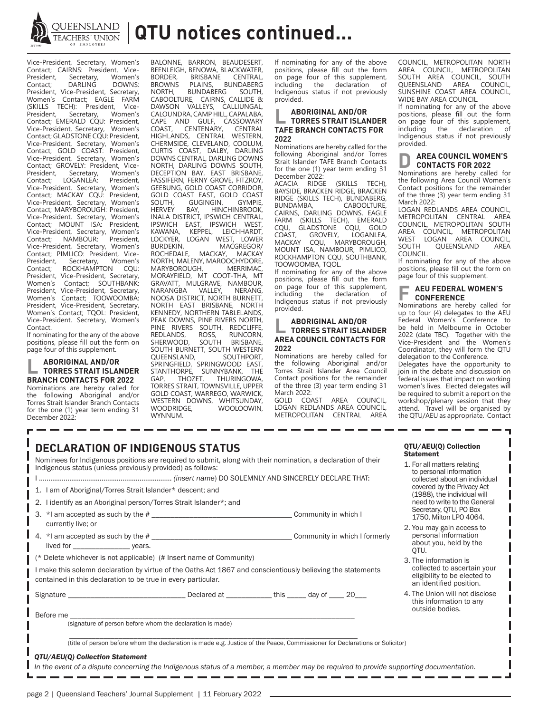

Vice-President, Secretary, Women's Contact; CAIRNS: President, Vice-President, Secretary, Women's Contact; DARLING DOWNS: President, Vice-President, Secretary, Women's Contact; EAGLE FARM (SKILLS TECH): President, Vice-President, Secretary, Women's Contact; EMERALD CQU: President, Vice-President, Secretary, Women's Contact; GLADSTONE CQU: President, Vice-President, Secretary, Women's Contact; GOLD COAST: President, Vice-President, Secretary, Women's Contact; GROVELY: President, Vice-<br>President, Secretary, Women's President, Secretary, Women's<br>Contact: LOGANLEA: President. LOGANLEA: Vice-President, Secretary, Women's Contact; MACKAY CQU: President, Vice-President, Secretary, Women's Contact; MARYBOROUGH: President, Vice-President, Secretary, Women's Contact; MOUNT ISA: President, Vice-President, Secretary, Women's<br>Contact; NAMBOUR: President, NAMBOUR: President, Vice-President, Secretary, Women's Contact; PIMLICO: President, Vice-<br>President, Secretary, Women's President, Secretary, Women's<br>Contact: ROCKHAMPTON COU ROCKHAMPTON CQU: President, Vice-President, Secretary,<br>Women's Contact: SOUTHBANK: Contact; SOUTHBANK: President, Vice-President, Secretary, Women's Contact; TOOWOOMBA: President, Vice-President, Secretary, Women's Contact; TQOL: President, Vice-President, Secretary, Women's Contact.

If nominating for the any of the above positions, please fill out the form on page four of this supplement.

# **L ABORIGINAL AND/OR TORRES STRAIT ISLANDER BRANCH CONTACTS FOR 2022**

Nominations are hereby called for<br>the following Aboriginal and/or following Aboriginal and/or Torres Strait Islander Branch Contacts for the one (1) year term ending 31 December 2022:

BALONNE, BARRON, BEAUDESERT, BEENLEIGH, BENOWA, BLACKWATER,<br>BORDER BRISBANE CENTRAL BORDER, BRISBANE<br>BROWNS PLAINS, BROWNS PLAINS, BUNDABERG<br>NORTH, BUNDABERG SOUTH, BUNDABERG CABOOLTURE, CAIRNS, CALLIDE & DAWSON VALLEYS, CALLIUNGAL, CALOUNDRA, CAMP HILL, CAPALABA, CAPE AND GULF, CASSOWARY<br>COAST, CENTENARY, CENTRAL COAST, CENTENARY, CENTRAL HIGHLANDS, CENTRAL WESTERN, CHERMSIDE, CLEVELAND, COOLUM, CURTIS COAST, DALBY, DARLING DOWNS CENTRAL, DARLING DOWNS NORTH, DARLING DOWNS SOUTH, DECEPTION BAY, EAST BRISBANE, FASSIFERN, FERNY GROVE, FITZROY, GEEBUNG, GOLD COAST CORRIDOR, GOLD COAST EAST, GOLD COAST<br>SOUTH, GUGINGIN, GYMPIE, SOUTH, GUGINGIN,<br>HERVEY BAY, HING HINCHINBROOK, INALA DISTRICT, IPSWICH CENTRAL, IPSWICH EAST, IPSWICH WEST, KAWANA, KEPPEL, LEICHHARDT, LOCKYER, LOGAN WEST, LOWER BURDEKIN, MACGREGOR/<br>ROCHEDALE, MACKAY, MACKAY MACKAY, MACKAY NORTH, MALENY, MAROOCHYDORE, MARYBOROUGH, MORAYFIELD, MT COOT-THA, MT GRAVATT, MULGRAVE, NAMBOUR,<br>NARANGBA VALLEY, NERANG, NARANGBA VALLEY, NERANG, NOOSA DISTRICT, NORTH BURNETT, NORTH EAST BRISBANE, NORTH KENNEDY, NORTHERN TABLELANDS, PEAK DOWNS, PINE RIVERS NORTH, PINE RIVERS SOUTH, REDCLIFFE,<br>REDLANDS, ROSS, RUNCORN, REDLANDS, ROSS,<br>SHERWOOD, SOUTH BRISBANE, SOUTH BURNETT, SOUTH WESTERN<br>QUEENSLAND, SOUTHPORT, QUEENSLAND, SOUTHPORT, SPRINGFIELD, SPRINGWOOD EAST, STANTHORPE, SUNNYBANK, THE<br>GAP, THOZET, THURINGOWA, GAP, THOZET, THURINGOWA, TORRES STRAIT, TOWNSVILLE, UPPER GOLD COAST, WARREGO, WARWICK, WESTERN DOWNS, WHITSUNDAY,<br>WOODRIDGE. WOOLOOWIN. WOOLOOWIN. WYNNUM.

If nominating for any of the above positions, please fill out the form on page four of this supplement,<br>including the declaration of the declaration Indigenous status if not previously provided.

## **L ABORIGINAL AND/OR TORRES STRAIT ISLANDER TAFE BRANCH CONTACTS FOR 2022**

Nominations are hereby called for the following Aboriginal and/or Torres Strait Islander TAFE Branch Contacts for the one (1) year term ending 31 December 2022:<br>ACACIA RIDGE

(SKILLS TECH), BAYSIDE, BRACKEN RIDGE, BRACKEN RIDGE (SKILLS TECH), BUNDABERG,<br>BUNDAMBA, CABOOLTURE, BUNDAMBA, CABOOLTURE, CAIRNS, DARLING DOWNS, EAGLE FARM (SKILLS TECH), EMERALD<br>COU, GLADSTONE COU, GOLD CQU, GLADSTONE ĈQU, GOLD<br>COAST, GROVELY, LOGANLEA, COAST, GROVELY, LOGANLEA,<br>MACKAY COU MARYBOROUGH CQU, MARYBOROUGH, MOUNT ISA, NAMBOUR, PIMLICO, ROCKHAMPTON CQU, SOUTHBANK, TOOWOOMBA, TQOL.

If nominating for any of the above positions, please fill out the form on page four of this supplement,<br>including the declaration of the declaration Indigenous status if not previously provided.

## **L ABORIGINAL AND/OR TORRES STRAIT ISLANDER AREA COUNCIL CONTACTS FOR 2022**

Nominations are hereby called for the following Aboriginal and/or Torres Strait Islander Area Council Contact positions for the remainder of the three (3) year term ending 31 March 2022:

GOLD COAST AREA COUNCIL, LOGAN REDLANDS AREA COUNCIL, METROPOLITAN CENTRAL AREA

COUNCIL, METROPOLITAN NORTH AREA COUNCIL, METROPOLITAN SOUTH AREA COUNCIL, SOUTH<br>
SOUTH AREA COUNCIL, SOUTH<br>
QUEENSLAND AREA COUNCIL, QUEENSLAND SUNSHINE COAST AREA COUNCIL, WIDE BAY AREA COUNCIL.

If nominating for any of the above positions, please fill out the form on page four of this supplement,<br>including the declaration of declaration Indigenous status if not previously provided.

#### **AREA COUNCIL WOMEN'S CONTACTS FOR 2022**

Nominations are hereby called for the following Area Council Women's Contact positions for the remainder of the three (3) year term ending 31 March 2022:

LOGAN REDLANDS AREA COUNCIL, METROPOLITAN CENTRAL AREA COUNCIL, METROPOLITAN SOUTH AREA COUNCIL, METROPOLITAN WEST LOGAN AREA COUNCIL,<br>SOUTH QUEENSLAND AREA QUEENSLAND COUNCIL.

If nominating for any of the above positions, please fill out the form on page four of this supplement.

#### **F AEU FEDERAL WOMEN'S CONFERENCE**

Nominations are hereby called for up to four (4) delegates to the AEU Federal Women's Conference to be held in Melbourne in October 2022 (date TBC). Together with the Vice-President and the Women's Coordinator, they will form the QTU delegation to the Conference.

Delegates have the opportunity to join in the debate and discussion on federal issues that impact on working women's lives. Elected delegates will be required to submit a report on the workshop/plenary session that they attend. Travel will be organised by the QTU/AEU as appropriate. Contact

| <b>DECLARATION OF INDIGENOUS STATUS</b>                                                                                                                                                                                                             |  | QTU/AEU(Q) Collection<br><b>Statement</b>                                                                                                                                            |                                                                                          |  |                                                                                     |
|-----------------------------------------------------------------------------------------------------------------------------------------------------------------------------------------------------------------------------------------------------|--|--------------------------------------------------------------------------------------------------------------------------------------------------------------------------------------|------------------------------------------------------------------------------------------|--|-------------------------------------------------------------------------------------|
| Nominees for Indigenous positions are required to submit, along with their nomination, a declaration of their<br>Indigenous status (unless previously provided) as follows:                                                                         |  | 1. For all matters relating<br>to personal information<br>collected about an individual<br>covered by the Privacy Act<br>(1988), the individual will<br>need to write to the General |                                                                                          |  |                                                                                     |
| 1. I am of Aboriginal/Torres Strait Islander* descent; and<br>2. I identify as an Aboriginal person/Torres Strait Islander*; and                                                                                                                    |  |                                                                                                                                                                                      |                                                                                          |  |                                                                                     |
|                                                                                                                                                                                                                                                     |  |                                                                                                                                                                                      | 3. *I am accepted as such by the #                                                       |  | Secretary, OTU, PO Box<br>1750, Milton LPO 4064.                                    |
|                                                                                                                                                                                                                                                     |  |                                                                                                                                                                                      | currently live; or                                                                       |  | 2. You may gain access to<br>personal information<br>about you, held by the<br>OTU. |
| (* Delete whichever is not applicable) (# Insert name of Community)<br>I make this solemn declaration by virtue of the Oaths Act 1867 and conscientiously believing the statements<br>contained in this declaration to be true in every particular. |  | 3. The information is<br>collected to ascertain your<br>eligibility to be elected to<br>an identified position.                                                                      |                                                                                          |  |                                                                                     |
|                                                                                                                                                                                                                                                     |  |                                                                                                                                                                                      | Signature entertainment and the Declared at ______________this _______day of _____20____ |  | 4. The Union will not disclose<br>this information to any<br>outside bodies.        |
| Before me <b>with a set of the contract of the set of the set of the set of the set of the set of the set of the set of the set of the set of the set of the set of the set of the set of the set of the set of the set of the s</b>                |  |                                                                                                                                                                                      |                                                                                          |  |                                                                                     |
| (signature of person before whom the declaration is made)                                                                                                                                                                                           |  |                                                                                                                                                                                      |                                                                                          |  |                                                                                     |
| (title of person before whom the declaration is made e.g. Justice of the Peace, Commissioner for Declarations or Solicitor)                                                                                                                         |  |                                                                                                                                                                                      |                                                                                          |  |                                                                                     |
|                                                                                                                                                                                                                                                     |  |                                                                                                                                                                                      |                                                                                          |  |                                                                                     |

#### *QTU/AEU(Q) Collection Statement*

*In the event of a dispute concerning the Indigenous status of a member, a member may be required to provide supporting documentation.*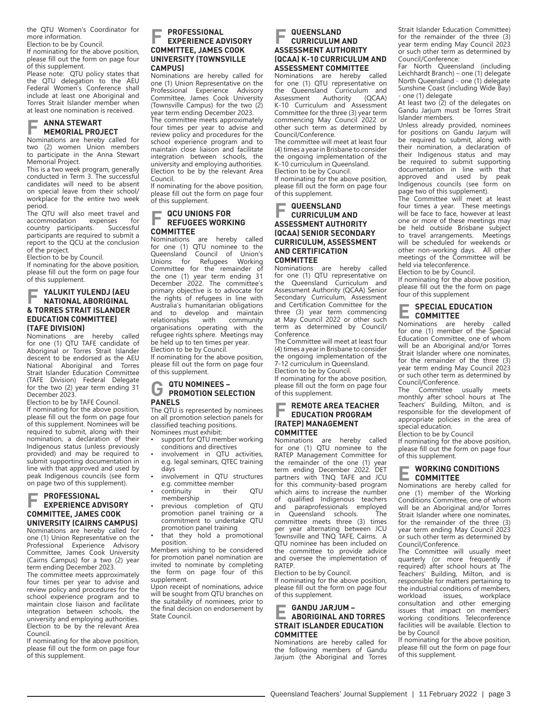the QTU Women's Coordinator for more information.

Election to be by Council.

If nominating for the above position, please fill out the form on page four of this supplement.

Please note: QTU policy states that the QTU delegation to the AEU Federal Women's Conference shall include at least one Aboriginal and Torres Strait Islander member when at least one nomination is received.

# **F ANNA STEWART MEMORIAL PROJECT**

Nominations are hereby called for two (2) women Union members to participate in the Anna Stewart Memorial Project.

This is a two week program, generally conducted in Term 3. The successful candidates will need to be absent on special leave from their school/ workplace for the entire two week period.

The QTU will also meet travel and accommodation expenses for<br>country participants Successful country participants. participants are required to submit a report to the QCU at the conclusion of the project.

Election to be by Council.

If nominating for the above position, please fill out the form on page four of this supplement.

#### **F YALUKIT YULENDJ (AEU NATIONAL ABORIGINAL & TORRES STRAIT ISLANDER EDUCATION COMMITTEE) (TAFE DIVISION)**

Nominations are hereby called for one (1) QTU TAFE candidate of Aboriginal or Torres Strait Islander descent to be endorsed as the AEU National Aboriginal and Torres Strait Islander Education Committee (TAFE Division) Federal Delegate for the two (2) year term ending 31 December 2023.

Election to be by TAFE Council.

If nominating for the above position, please fill out the form on page four of this supplement. Nominees will be required to submit, along with their nomination, a declaration of their Indigenous status (unless previously provided) and may be required to submit supporting documentation in line with that approved and used by peak Indigenous councils (see form on page two of this supplement).

#### **F PROFESSIONAL EXPERIENCE ADVISORY COMMITTEE, JAMES COOK UNIVERSITY (CAIRNS CAMPUS)**

Nominations are hereby called for one (1) Union Representative on the Professional Experience Advisory Committee, James Cook University (Cairns Campus) for a two (2) year term ending December 2023.

The committee meets approximately four times per year to advise and review policy and procedures for the school experience program and to maintain close liaison and facilitate integration between schools, the university and employing authorities. Election to be by the relevant Area Council.

If nominating for the above position, please fill out the form on page four of this supplement.

## **F PROFESSIONAL EXPERIENCE ADVISORY COMMITTEE, JAMES COOK UNIVERSITY (TOWNSVILLE CAMPUS)**

Nominations are hereby called for one (1) Union Representative on the Professional Experience Advisory Committee, James Cook University (Townsville Campus) for the two (2) year term ending December 2023.

The committee meets approximately four times per year to advise and review policy and procedures for the school experience program and to maintain close liaison and facilitate integration between schools, the university and employing authorities. Election to be by the relevant Area Council.

If nominating for the above position, please fill out the form on page four of this supplement.

# **F QCU UNIONS FOR REFUGEES WORKING COMMITTEE**

are hereby called for one (1) QTU nominee to the<br>Queensland Council of Union's Council of Union's<br>Refugees Working Unions for Committee for the remainder of the one (1) year term ending 31 December 2022. The committee's primary objective is to advocate for the rights of refugees in line with Australia's humanitarian obligations and to develop and maintain<br>relationships with community relationships organisations operating with the refugee rights sphere. Meetings may be held up to ten times per year.

Election to be by Council. If nominating for the above position, please fill out the form on page four of this supplement.

# **G QTU NOMINEES – PROMOTION SELECTION PANELS**

The QTU is represented by nominees on all promotion selection panels for classified teaching positions. Nominees must exhibit:

- support for QTU member working conditions and directives
- involvement in OTU activities. e.g. legal seminars, QTEC training days
- involvement in QTU structures e.g. committee member
- continuity in their QTU membership
- previous completion of QTU promotion panel training or a commitment to undertake QTU promotion panel training
- that they hold a promotional position.

Members wishing to be considered for promotion panel nomination are invited to nominate by completing the form on page four of this supplement.

Upon receipt of nominations, advice will be sought from QTU branches on the suitability of nominees, prior to the final decision on endorsement by State Council.

#### **F QUEENSLAND CURRICULUM AND ASSESSMENT AUTHORITY (QCAA) K-10 CURRICULUM AND ASSESSMENT COMMITTEE**

Nominations are hereby called for one (1) QTU representative on the Queensland Curriculum and Assessment Authority (QCAA) K-10 Curriculum and Assessment Committee for the three (3) year term commencing May Council 2022 or other such term as determined by Council/Conference.

The committee will meet at least four (4) times a year in Brisbane to consider the ongoing implementation of the K-10 curriculum in Queensland. Election to be by Council.

If nominating for the above position, please fill out the form on page four of this supplement.

#### **F QUEENSLAND CURRICULUM AND ASSESSMENT AUTHORITY (QCAA) SENIOR SECONDARY CURRICULUM, ASSESSMENT AND CERTIFICATION COMMITTEE**

are hereby called for one (1) QTU representative on the Queensland Curriculum and Assessment Authority (QCAA) Senior Secondary Curriculum, Assessment and Certification Committee for the three (3) year term commencing at May Council 2022 or other such term as determined by Council/ Conference.

The Committee will meet at least four (4) times a year in Brisbane to consider the ongoing implementation of the 7-12 curriculum in Queensland.

Election to be by Council. If nominating for the above position,

please fill out the form on page four of this supplement.

#### **F REMOTE AREA TEACHER EDUCATION PROGRAM (RATEP) MANAGEMENT COMMITTEE**

Nominations are hereby called for one (1) QTU nominee to the RATEP Management Committee for the remainder of the one (1) year term ending December 2022. DET partners with TNQ TAFE and JCU for this community-based program which aims to increase the number of qualified Indigenous teachers and paraprofessionals employed<br>in Queensland schools The in Queensland schools. committee meets three (3) times per year alternating between JCU Townsville and TNQ TAFE, Cairns. A QTU nominee has been included on the committee to provide advice and oversee the implementation of RATEP.

Election to be by Council.

If nominating for the above position, please fill out the form on page four of this supplement.

## **E GANDU JARJUM – ABORIGINAL AND TORRES STRAIT ISLANDER EDUCATION COMMITTEE**

Nominations are hereby called for the following members of Gandu Jarjum (the Aboriginal and Torres Strait Islander Education Committee) for the remainder of the three (3) year term ending May Council 2023 or such other term as determined by Council/Conference:

Far North Queensland (including Leichhardt Branch) – one (1) delegate North Queensland - one (1) delegate Sunshine Coast (including Wide Bay) - one (1) delegate

At least two (2) of the delegates on Gandu Jarjum must be Torres Strait Islander members.

Unless already provided, nominees for positions on Gandu Jarjum will be required to submit, along with their nomination, a declaration of their Indigenous status and may be required to submit supporting documentation in line with that approved and used by peak Indigenous councils (see form on page two of this supplement).

The Committee will meet at least four times a year. These meetings will be face to face, however at least one or more of these meetings may be held outside Brisbane subject to travel arrangements. Meetings will be scheduled for weekends or other non-working days. All other meetings of the Committee will be held via teleconference.

Election to be by Council.

If nominating for the above position, please fill out the the form on page four of this supplement

#### **E SPECIAL EDUCATION COMMITTEE**

Nominations are hereby called for one (1) member of the Special Education Committee, one of whom will be an Aboriginal and/or Torres Strait Islander where one nominates, for the remainder of the three (3) year term ending May Council 2023 or such other term as determined by Council/Conference.<br>The Committee

Committee usually meets monthly after school hours at The Teachers' Building, Milton, and is responsible for the development of appropriate policies in the area of special education.

Election to be by Council

If nominating for the above position, please fill out the form on page four of this supplement.

#### **E WORKING CONDITIONS COMMITTEE**

Nominations are hereby called for one (1) member of the Working Conditions Committee, one of whom will be an Aboriginal and/or Torres Strait Islander where one nominates, for the remainder of the three (3) year term ending May Council 2023 or such other term as determined by Council/Conference.

The Committee will usually meet quarterly (or more frequently if required) after school hours at The Teachers' Building, Milton, and is responsible for matters pertaining to the industrial conditions of members,<br>workload issues, workplace workload issues, workplace consultation and other emerging issues that impact on members' working conditions. Teleconference facilities will be available. Election to be by Council

If nominating for the above position, please fill out the form on page four of this supplement.